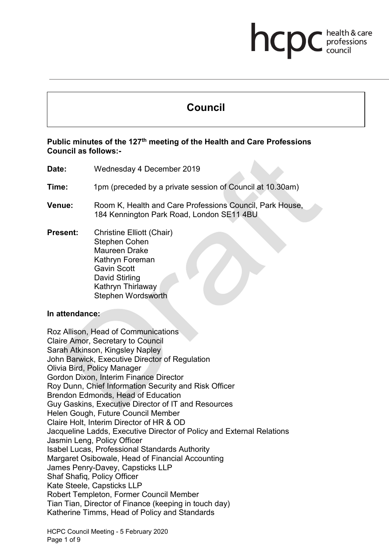# **Council**

health & care

professions<br>council

hcp

#### **Public minutes of the 127th meeting of the Health and Care Professions Council as follows:-**

- **Date:** Wednesday 4 December 2019
- **Time:** 1pm (preceded by a private session of Council at 10.30am)
- **Venue:** Room K, Health and Care Professions Council, Park House, 184 Kennington Park Road, London SE11 4BU

**Present:** Christine Elliott (Chair) Stephen Cohen Maureen Drake Kathryn Foreman Gavin Scott David Stirling Kathryn Thirlaway Stephen Wordsworth

#### **In attendance:**

Roz Allison, Head of Communications Claire Amor, Secretary to Council Sarah Atkinson, Kingsley Napley John Barwick, Executive Director of Regulation Olivia Bird, Policy Manager Gordon Dixon, Interim Finance Director Roy Dunn, Chief Information Security and Risk Officer Brendon Edmonds, Head of Education Guy Gaskins, Executive Director of IT and Resources Helen Gough, Future Council Member Claire Holt, Interim Director of HR & OD Jacqueline Ladds, Executive Director of Policy and External Relations Jasmin Leng, Policy Officer Isabel Lucas, Professional Standards Authority Margaret Osibowale, Head of Financial Accounting James Penry-Davey, Capsticks LLP Shaf Shafiq, Policy Officer Kate Steele, Capsticks LLP Robert Templeton, Former Council Member Tian Tian, Director of Finance (keeping in touch day) Katherine Timms, Head of Policy and Standards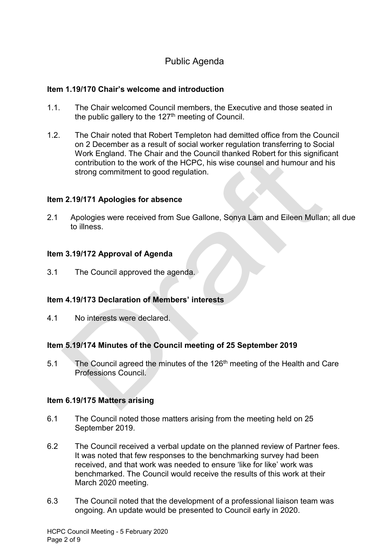# Public Agenda

#### **Item 1.19/170 Chair's welcome and introduction**

- 1.1. The Chair welcomed Council members, the Executive and those seated in the public gallery to the  $127<sup>th</sup>$  meeting of Council.
- 1.2. The Chair noted that Robert Templeton had demitted office from the Council on 2 December as a result of social worker regulation transferring to Social Work England. The Chair and the Council thanked Robert for this significant contribution to the work of the HCPC, his wise counsel and humour and his strong commitment to good regulation.

#### **Item 2.19/171 Apologies for absence**

2.1 Apologies were received from Sue Gallone, Sonya Lam and Eileen Mullan; all due to illness.

#### **Item 3.19/172 Approval of Agenda**

3.1 The Council approved the agenda.

#### **Item 4.19/173 Declaration of Members' interests**

4.1 No interests were declared.

#### **Item 5.19/174 Minutes of the Council meeting of 25 September 2019**

5.1 The Council agreed the minutes of the 126<sup>th</sup> meeting of the Health and Care Professions Council.

#### **Item 6.19/175 Matters arising**

- 6.1 The Council noted those matters arising from the meeting held on 25 September 2019.
- 6.2 The Council received a verbal update on the planned review of Partner fees. It was noted that few responses to the benchmarking survey had been received, and that work was needed to ensure 'like for like' work was benchmarked. The Council would receive the results of this work at their March 2020 meeting.
- 6.3 The Council noted that the development of a professional liaison team was ongoing. An update would be presented to Council early in 2020.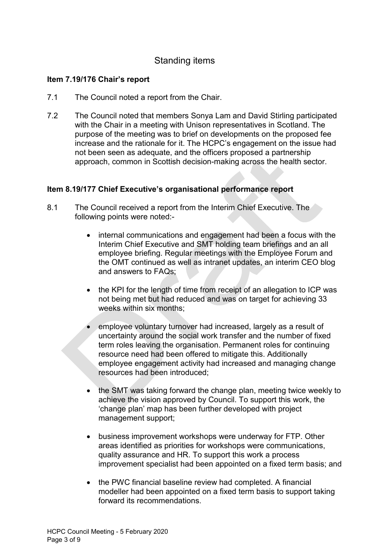# Standing items

#### **Item 7.19/176 Chair's report**

- 7.1 The Council noted a report from the Chair.
- 7.2 The Council noted that members Sonya Lam and David Stirling participated with the Chair in a meeting with Unison representatives in Scotland. The purpose of the meeting was to brief on developments on the proposed fee increase and the rationale for it. The HCPC's engagement on the issue had not been seen as adequate, and the officers proposed a partnership approach, common in Scottish decision-making across the health sector.

#### **Item 8.19/177 Chief Executive's organisational performance report**

- 8.1 The Council received a report from the Interim Chief Executive. The following points were noted:-
	- internal communications and engagement had been a focus with the Interim Chief Executive and SMT holding team briefings and an all employee briefing. Regular meetings with the Employee Forum and the OMT continued as well as intranet updates, an interim CEO blog and answers to FAQs;
	- the KPI for the length of time from receipt of an allegation to ICP was not being met but had reduced and was on target for achieving 33 weeks within six months;
	- employee voluntary turnover had increased, largely as a result of uncertainty around the social work transfer and the number of fixed term roles leaving the organisation. Permanent roles for continuing resource need had been offered to mitigate this. Additionally employee engagement activity had increased and managing change resources had been introduced;
	- the SMT was taking forward the change plan, meeting twice weekly to achieve the vision approved by Council. To support this work, the 'change plan' map has been further developed with project management support;
	- business improvement workshops were underway for FTP. Other areas identified as priorities for workshops were communications, quality assurance and HR. To support this work a process improvement specialist had been appointed on a fixed term basis; and
	- the PWC financial baseline review had completed. A financial modeller had been appointed on a fixed term basis to support taking forward its recommendations.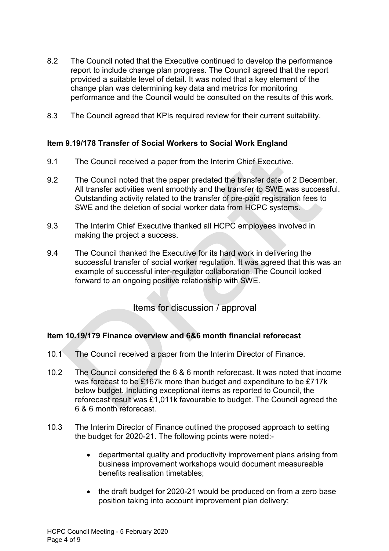- 8.2 The Council noted that the Executive continued to develop the performance report to include change plan progress. The Council agreed that the report provided a suitable level of detail. It was noted that a key element of the change plan was determining key data and metrics for monitoring performance and the Council would be consulted on the results of this work.
- 8.3 The Council agreed that KPIs required review for their current suitability.

#### **Item 9.19/178 Transfer of Social Workers to Social Work England**

- 9.1 The Council received a paper from the Interim Chief Executive.
- 9.2 The Council noted that the paper predated the transfer date of 2 December. All transfer activities went smoothly and the transfer to SWE was successful. Outstanding activity related to the transfer of pre-paid registration fees to SWE and the deletion of social worker data from HCPC systems.
- 9.3 The Interim Chief Executive thanked all HCPC employees involved in making the project a success.
- 9.4 The Council thanked the Executive for its hard work in delivering the successful transfer of social worker regulation. It was agreed that this was an example of successful inter-regulator collaboration. The Council looked forward to an ongoing positive relationship with SWE.

Items for discussion / approval

## **Item 10.19/179 Finance overview and 6&6 month financial reforecast**

- 10.1 The Council received a paper from the Interim Director of Finance.
- 10.2 The Council considered the 6 & 6 month reforecast. It was noted that income was forecast to be £167k more than budget and expenditure to be £717k below budget. Including exceptional items as reported to Council, the reforecast result was £1,011k favourable to budget. The Council agreed the 6 & 6 month reforecast.
- 10.3 The Interim Director of Finance outlined the proposed approach to setting the budget for 2020-21. The following points were noted:-
	- departmental quality and productivity improvement plans arising from business improvement workshops would document measureable benefits realisation timetables;
	- the draft budget for 2020-21 would be produced on from a zero base position taking into account improvement plan delivery;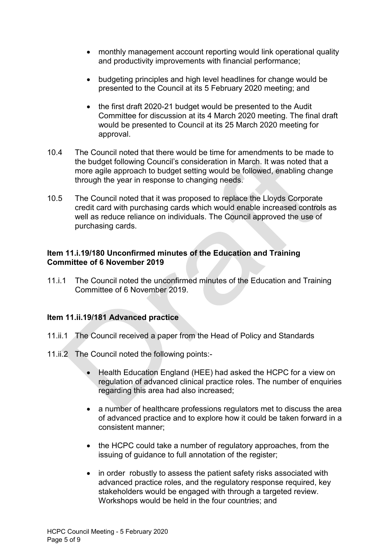- monthly management account reporting would link operational quality and productivity improvements with financial performance;
- budgeting principles and high level headlines for change would be presented to the Council at its 5 February 2020 meeting; and
- the first draft 2020-21 budget would be presented to the Audit Committee for discussion at its 4 March 2020 meeting. The final draft would be presented to Council at its 25 March 2020 meeting for approval.
- 10.4 The Council noted that there would be time for amendments to be made to the budget following Council's consideration in March. It was noted that a more agile approach to budget setting would be followed, enabling change through the year in response to changing needs.
- 10.5 The Council noted that it was proposed to replace the Lloyds Corporate credit card with purchasing cards which would enable increased controls as well as reduce reliance on individuals. The Council approved the use of purchasing cards.

#### **Item 11.i.19/180 Unconfirmed minutes of the Education and Training Committee of 6 November 2019**

11.i.1 The Council noted the unconfirmed minutes of the Education and Training Committee of 6 November 2019.

## **Item 11.ii.19/181 Advanced practice**

- 11.ii.1 The Council received a paper from the Head of Policy and Standards
- 11.ii.2 The Council noted the following points:-
	- Health Education England (HEE) had asked the HCPC for a view on regulation of advanced clinical practice roles. The number of enquiries regarding this area had also increased;
	- a number of healthcare professions regulators met to discuss the area of advanced practice and to explore how it could be taken forward in a consistent manner;
	- the HCPC could take a number of regulatory approaches, from the issuing of guidance to full annotation of the register;
	- in order robustly to assess the patient safety risks associated with advanced practice roles, and the regulatory response required, key stakeholders would be engaged with through a targeted review. Workshops would be held in the four countries; and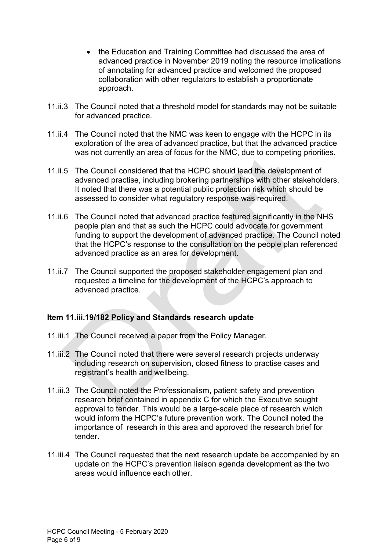- the Education and Training Committee had discussed the area of advanced practice in November 2019 noting the resource implications of annotating for advanced practice and welcomed the proposed collaboration with other regulators to establish a proportionate approach.
- 11.ii.3 The Council noted that a threshold model for standards may not be suitable for advanced practice.
- 11.ii.4 The Council noted that the NMC was keen to engage with the HCPC in its exploration of the area of advanced practice, but that the advanced practice was not currently an area of focus for the NMC, due to competing priorities.
- 11.ii.5 The Council considered that the HCPC should lead the development of advanced practise, including brokering partnerships with other stakeholders. It noted that there was a potential public protection risk which should be assessed to consider what regulatory response was required.
- 11.ii.6 The Council noted that advanced practice featured significantly in the NHS people plan and that as such the HCPC could advocate for government funding to support the development of advanced practice. The Council noted that the HCPC's response to the consultation on the people plan referenced advanced practice as an area for development.
- 11.ii.7 The Council supported the proposed stakeholder engagement plan and requested a timeline for the development of the HCPC's approach to advanced practice.

## **Item 11.iii.19/182 Policy and Standards research update**

- 11.iii.1 The Council received a paper from the Policy Manager.
- 11.iii.2 The Council noted that there were several research projects underway including research on supervision, closed fitness to practise cases and registrant's health and wellbeing.
- 11.iii.3 The Council noted the Professionalism, patient safety and prevention research brief contained in appendix C for which the Executive sought approval to tender. This would be a large-scale piece of research which would inform the HCPC's future prevention work. The Council noted the importance of research in this area and approved the research brief for tender.
- 11.iii.4 The Council requested that the next research update be accompanied by an update on the HCPC's prevention liaison agenda development as the two areas would influence each other.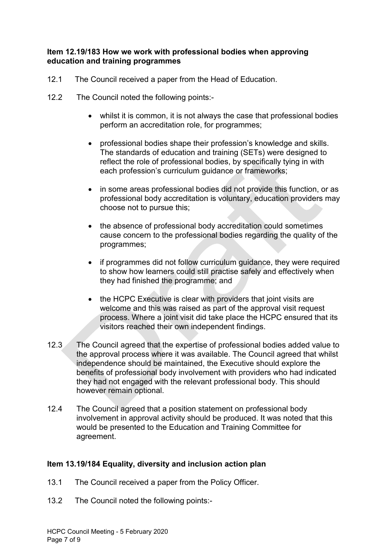#### **Item 12.19/183 How we work with professional bodies when approving education and training programmes**

- 12.1 The Council received a paper from the Head of Education.
- 12.2 The Council noted the following points:-
	- whilst it is common, it is not always the case that professional bodies perform an accreditation role, for programmes;
	- professional bodies shape their profession's knowledge and skills. The standards of education and training (SETs) were designed to reflect the role of professional bodies, by specifically tying in with each profession's curriculum guidance or frameworks;
	- in some areas professional bodies did not provide this function, or as professional body accreditation is voluntary, education providers may choose not to pursue this;
	- the absence of professional body accreditation could sometimes cause concern to the professional bodies regarding the quality of the programmes;
	- if programmes did not follow curriculum guidance, they were required to show how learners could still practise safely and effectively when they had finished the programme; and
	- the HCPC Executive is clear with providers that joint visits are welcome and this was raised as part of the approval visit request process. Where a joint visit did take place the HCPC ensured that its visitors reached their own independent findings.
- 12.3 The Council agreed that the expertise of professional bodies added value to the approval process where it was available. The Council agreed that whilst independence should be maintained, the Executive should explore the benefits of professional body involvement with providers who had indicated they had not engaged with the relevant professional body. This should however remain optional.
- 12.4 The Council agreed that a position statement on professional body involvement in approval activity should be produced. It was noted that this would be presented to the Education and Training Committee for agreement.

## **Item 13.19/184 Equality, diversity and inclusion action plan**

- 13.1 The Council received a paper from the Policy Officer.
- 13.2 The Council noted the following points:-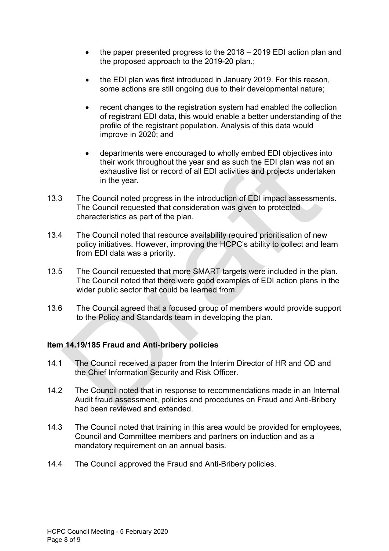- the paper presented progress to the  $2018 2019$  EDI action plan and the proposed approach to the 2019-20 plan.;
- the EDI plan was first introduced in January 2019. For this reason, some actions are still ongoing due to their developmental nature;
- recent changes to the registration system had enabled the collection of registrant EDI data, this would enable a better understanding of the profile of the registrant population. Analysis of this data would improve in 2020; and
- departments were encouraged to wholly embed EDI objectives into their work throughout the year and as such the EDI plan was not an exhaustive list or record of all EDI activities and projects undertaken in the year.
- 13.3 The Council noted progress in the introduction of EDI impact assessments. The Council requested that consideration was given to protected characteristics as part of the plan.
- 13.4 The Council noted that resource availability required prioritisation of new policy initiatives. However, improving the HCPC's ability to collect and learn from EDI data was a priority.
- 13.5 The Council requested that more SMART targets were included in the plan. The Council noted that there were good examples of EDI action plans in the wider public sector that could be learned from.
- 13.6 The Council agreed that a focused group of members would provide support to the Policy and Standards team in developing the plan.

## **Item 14.19/185 Fraud and Anti-bribery policies**

- 14.1 The Council received a paper from the Interim Director of HR and OD and the Chief Information Security and Risk Officer.
- 14.2 The Council noted that in response to recommendations made in an Internal Audit fraud assessment, policies and procedures on Fraud and Anti-Bribery had been reviewed and extended.
- 14.3 The Council noted that training in this area would be provided for employees, Council and Committee members and partners on induction and as a mandatory requirement on an annual basis.
- 14.4 The Council approved the Fraud and Anti-Bribery policies.